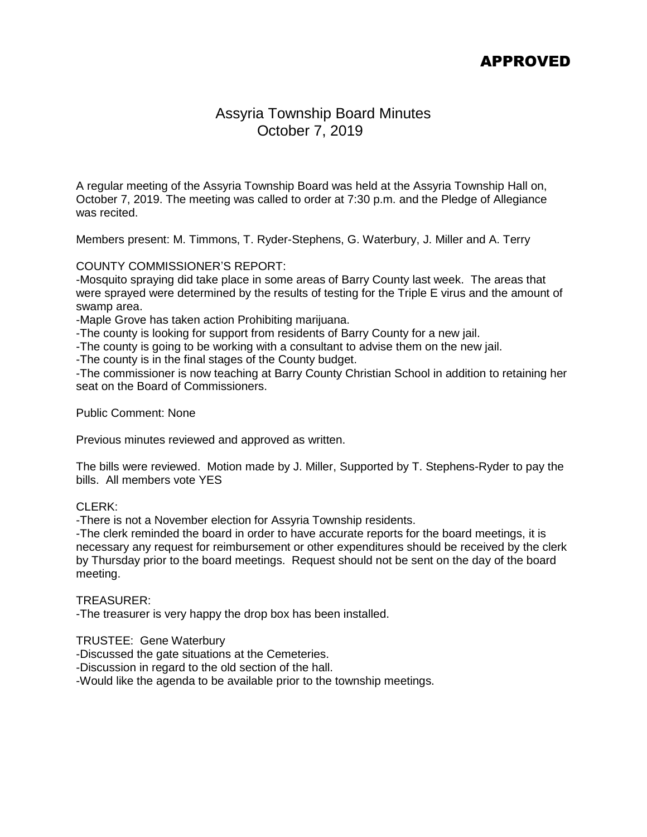### APPROVED

### Assyria Township Board Minutes October 7, 2019

A regular meeting of the Assyria Township Board was held at the Assyria Township Hall on, October 7, 2019. The meeting was called to order at 7:30 p.m. and the Pledge of Allegiance was recited.

Members present: M. Timmons, T. Ryder-Stephens, G. Waterbury, J. Miller and A. Terry

### COUNTY COMMISSIONER'S REPORT:

-Mosquito spraying did take place in some areas of Barry County last week. The areas that were sprayed were determined by the results of testing for the Triple E virus and the amount of swamp area.

-Maple Grove has taken action Prohibiting marijuana.

-The county is looking for support from residents of Barry County for a new jail.

-The county is going to be working with a consultant to advise them on the new jail.

-The county is in the final stages of the County budget.

-The commissioner is now teaching at Barry County Christian School in addition to retaining her seat on the Board of Commissioners.

Public Comment: None

Previous minutes reviewed and approved as written.

The bills were reviewed. Motion made by J. Miller, Supported by T. Stephens-Ryder to pay the bills. All members vote YES

### CLERK:

-There is not a November election for Assyria Township residents.

-The clerk reminded the board in order to have accurate reports for the board meetings, it is necessary any request for reimbursement or other expenditures should be received by the clerk by Thursday prior to the board meetings. Request should not be sent on the day of the board meeting.

#### TREASURER:

-The treasurer is very happy the drop box has been installed.

TRUSTEE: Gene Waterbury

-Discussed the gate situations at the Cemeteries.

-Discussion in regard to the old section of the hall.

-Would like the agenda to be available prior to the township meetings.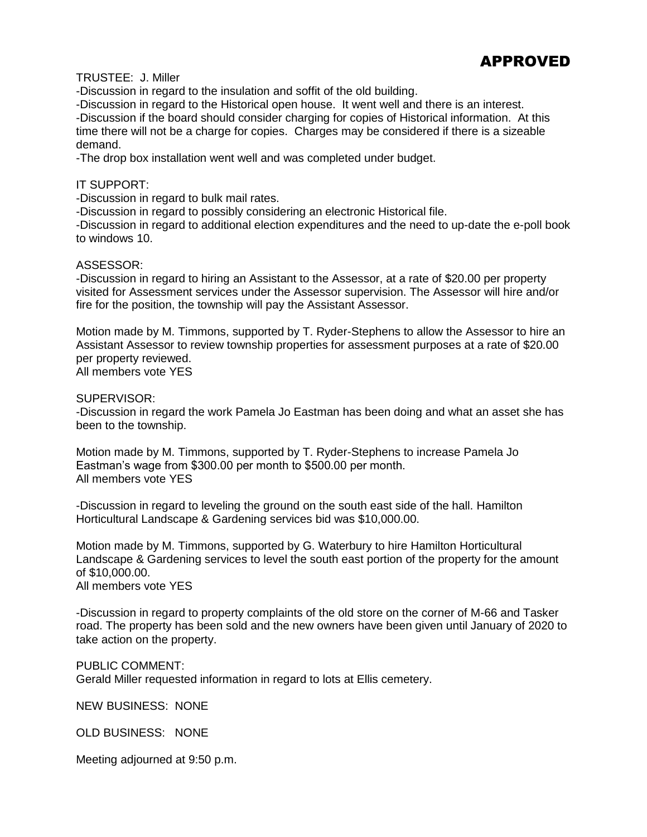## APPROVED

TRUSTEE: J. Miller

-Discussion in regard to the insulation and soffit of the old building.

-Discussion in regard to the Historical open house. It went well and there is an interest. -Discussion if the board should consider charging for copies of Historical information. At this time there will not be a charge for copies. Charges may be considered if there is a sizeable demand.

-The drop box installation went well and was completed under budget.

### IT SUPPORT:

-Discussion in regard to bulk mail rates.

-Discussion in regard to possibly considering an electronic Historical file.

-Discussion in regard to additional election expenditures and the need to up-date the e-poll book to windows 10.

#### ASSESSOR:

-Discussion in regard to hiring an Assistant to the Assessor, at a rate of \$20.00 per property visited for Assessment services under the Assessor supervision. The Assessor will hire and/or fire for the position, the township will pay the Assistant Assessor.

Motion made by M. Timmons, supported by T. Ryder-Stephens to allow the Assessor to hire an Assistant Assessor to review township properties for assessment purposes at a rate of \$20.00 per property reviewed. All members vote YES

SUPERVISOR:

-Discussion in regard the work Pamela Jo Eastman has been doing and what an asset she has been to the township.

Motion made by M. Timmons, supported by T. Ryder-Stephens to increase Pamela Jo Eastman's wage from \$300.00 per month to \$500.00 per month. All members vote YES

-Discussion in regard to leveling the ground on the south east side of the hall. Hamilton Horticultural Landscape & Gardening services bid was \$10,000.00.

Motion made by M. Timmons, supported by G. Waterbury to hire Hamilton Horticultural Landscape & Gardening services to level the south east portion of the property for the amount of \$10,000.00. All members vote YES

-Discussion in regard to property complaints of the old store on the corner of M-66 and Tasker road. The property has been sold and the new owners have been given until January of 2020 to take action on the property.

PUBLIC COMMENT: Gerald Miller requested information in regard to lots at Ellis cemetery.

NEW BUSINESS: NONE

OLD BUSINESS: NONE

Meeting adjourned at 9:50 p.m.